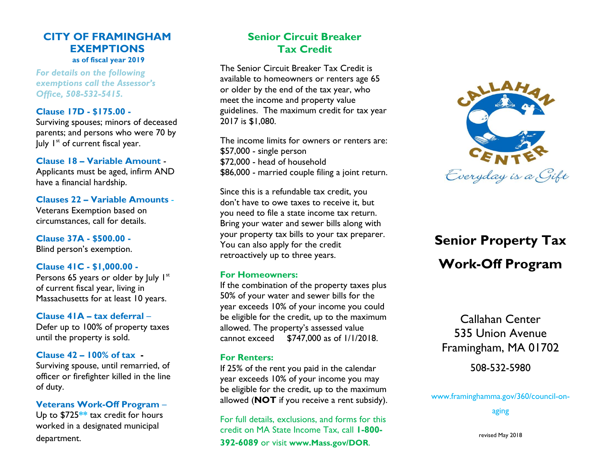# **CITY OF FRAMINGHAM EXEMPTIONS as of fiscal year 2019**

*For details on the following exemptions call the Assessor's Office, 508-532-5415.*

#### **Clause 17D - \$175.00 -**

Surviving spouses; minors of deceased parents; and persons who were 70 by July  $I^{st}$  of current fiscal year.

#### **Clause 18 – Variable Amount** -

Applicants must be aged, infirm AND have a financial hardship.

#### **Clauses 22 – Variable Amounts** -

Veterans Exemption based on circumstances, call for details.

**Clause 37A - \$500.00 -** Blind person's exemption.

#### **Clause 41C - \$1,000.00 -**

Persons 65 years or older by July  $I<sup>st</sup>$ of current fiscal year, living in Massachusetts for at least 10 years.

# **Clause 41A – tax deferral** –

Defer up to 100% of property taxes until the property is sold.

#### **Clause 42 – 100% of tax -**

Surviving spouse, until remarried, of officer or firefighter killed in the line of duty.

# **Veterans Work-Off Program** – Up to \$725**\*\*** tax credit for hours worked in a designated municipal department.

# **Senior Circuit Breaker Tax Credit**

The Senior Circuit Breaker Tax Credit is available to homeowners or renters age 65 or older by the end of the tax year, who meet the income and property value guidelines. The maximum credit for tax year 2017 is \$1,080.

The income limits for owners or renters are: \$57,000 - single person \$72,000 - head of household \$86,000 - married couple filing a joint return.

Since this is a refundable tax credit, you don't have to owe taxes to receive it, but you need to file a state income tax return. Bring your water and sewer bills along with your property tax bills to your tax preparer. You can also apply for the credit retroactively up to three years.

#### **For Homeowners:**

If the combination of the property taxes plus 50% of your water and sewer bills for the year exceeds 10% of your income you could be eligible for the credit, up to the maximum allowed. The property's assessed value cannot exceed \$747,000 as of 1/1/2018.

#### **For Renters:**

If 25% of the rent you paid in the calendar year exceeds 10% of your income you may be eligible for the credit, up to the maximum allowed (**NOT** if you receive a rent subsidy).

For full details, exclusions, and forms for this credit on MA State Income Tax, call **1-800- 392-6089** or visit **www.Mass.gov/DOR**.



# **Senior Property Tax Work-Off Program**

Callahan Center 535 Union Avenue Framingham, MA 01702

508-532-5980

www.framinghamma.gov/360/council-on-

aging

revised May 2018